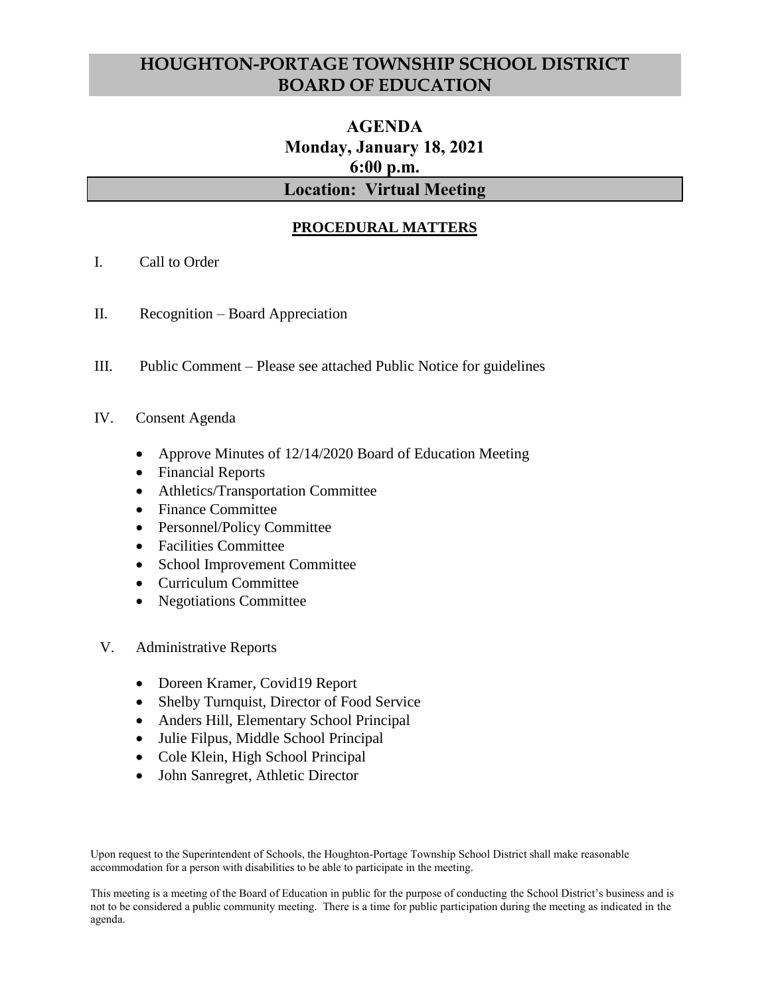# **HOUGHTON-PORTAGE TOWNSHIP SCHOOL DISTRICT BOARD OF EDUCATION**

# **AGENDA Monday, January 18, 2021 6:00 p.m. Location: Virtual Meeting**

## **PROCEDURAL MATTERS**

- I. Call to Order
- II. Recognition Board Appreciation
- III. Public Comment Please see attached Public Notice for guidelines
- IV. Consent Agenda
	- Approve Minutes of 12/14/2020 Board of Education Meeting
	- Financial Reports
	- Athletics/Transportation Committee
	- Finance Committee
	- Personnel/Policy Committee
	- Facilities Committee
	- School Improvement Committee
	- Curriculum Committee
	- Negotiations Committee
- V. Administrative Reports
	- Doreen Kramer, Covid19 Report
	- Shelby Turnquist, Director of Food Service
	- Anders Hill, Elementary School Principal
	- Julie Filpus, Middle School Principal
	- Cole Klein, High School Principal
	- John Sanregret, Athletic Director

Upon request to the Superintendent of Schools, the Houghton-Portage Township School District shall make reasonable accommodation for a person with disabilities to be able to participate in the meeting.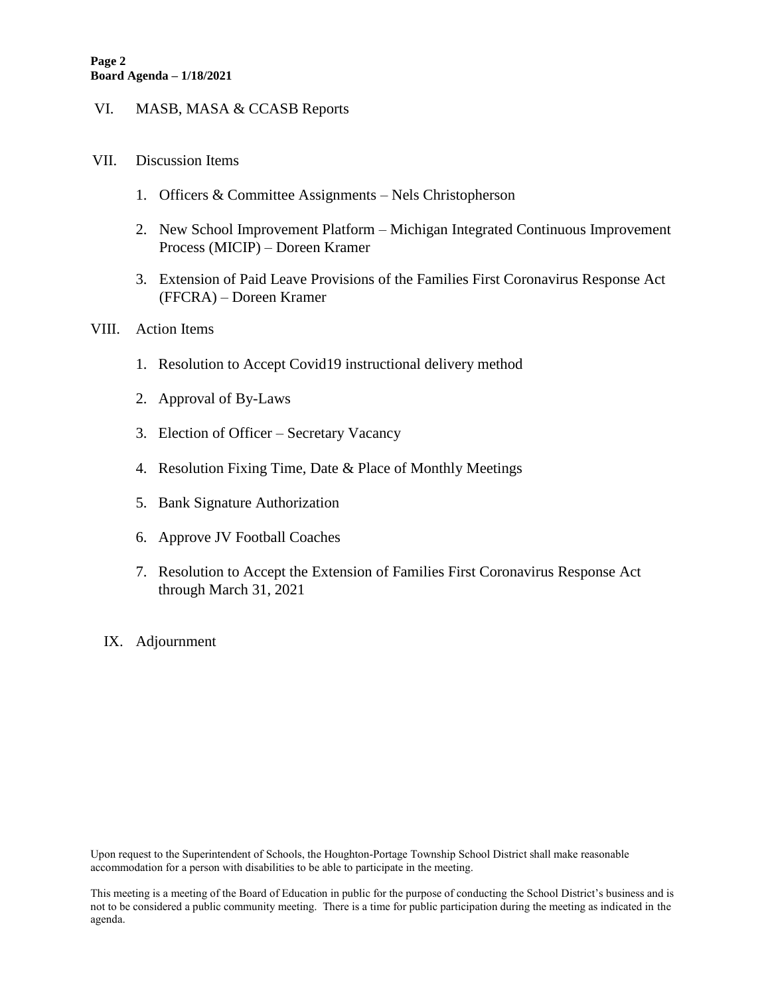#### VI. MASB, MASA & CCASB Reports

#### VII. Discussion Items

- 1. Officers & Committee Assignments Nels Christopherson
- 2. New School Improvement Platform Michigan Integrated Continuous Improvement Process (MICIP) – Doreen Kramer
- 3. Extension of Paid Leave Provisions of the Families First Coronavirus Response Act (FFCRA) – Doreen Kramer

#### VIII. Action Items

- 1. Resolution to Accept Covid19 instructional delivery method
- 2. Approval of By-Laws
- 3. Election of Officer Secretary Vacancy
- 4. Resolution Fixing Time, Date & Place of Monthly Meetings
- 5. Bank Signature Authorization
- 6. Approve JV Football Coaches
- 7. Resolution to Accept the Extension of Families First Coronavirus Response Act through March 31, 2021
- IX. Adjournment

Upon request to the Superintendent of Schools, the Houghton-Portage Township School District shall make reasonable accommodation for a person with disabilities to be able to participate in the meeting.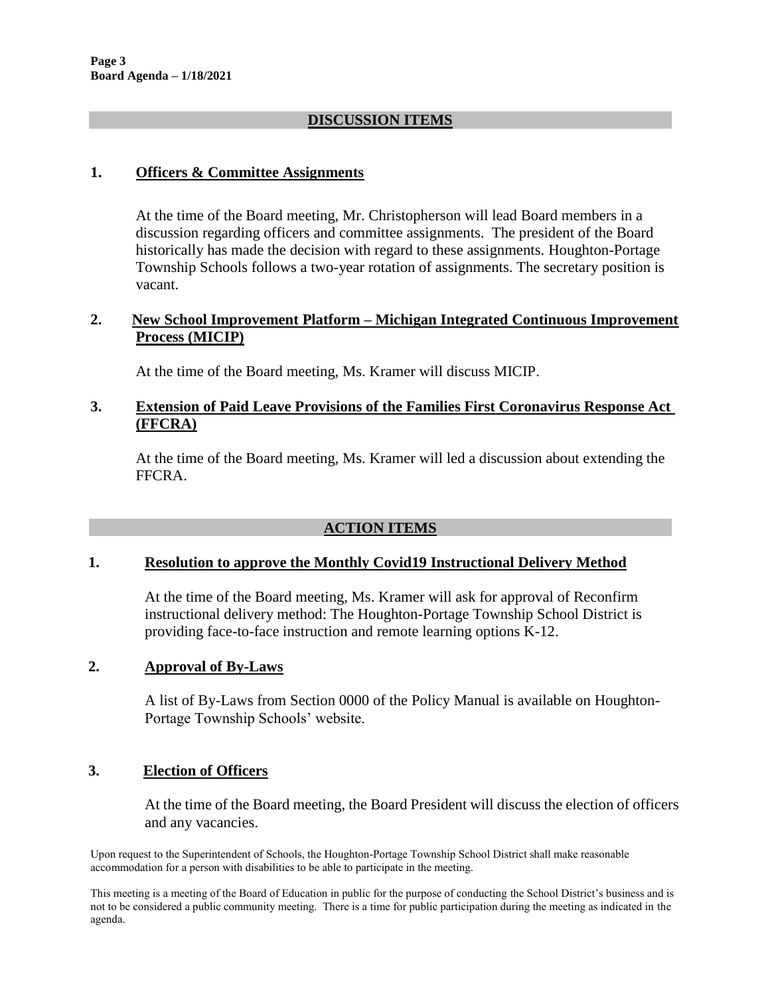## **DISCUSSION ITEMS**

## **1. Officers & Committee Assignments**

At the time of the Board meeting, Mr. Christopherson will lead Board members in a discussion regarding officers and committee assignments. The president of the Board historically has made the decision with regard to these assignments. Houghton-Portage Township Schools follows a two-year rotation of assignments. The secretary position is vacant.

## **2. New School Improvement Platform – Michigan Integrated Continuous Improvement Process (MICIP)**

At the time of the Board meeting, Ms. Kramer will discuss MICIP.

## **3. Extension of Paid Leave Provisions of the Families First Coronavirus Response Act (FFCRA)**

At the time of the Board meeting, Ms. Kramer will led a discussion about extending the FFCRA.

## **ACTION ITEMS**

#### **1. Resolution to approve the Monthly Covid19 Instructional Delivery Method**

At the time of the Board meeting, Ms. Kramer will ask for approval of Reconfirm instructional delivery method: The Houghton-Portage Township School District is providing face-to-face instruction and remote learning options K-12.

## **2. Approval of By-Laws**

A list of By-Laws from Section 0000 of the Policy Manual is available on Houghton-Portage Township Schools' website.

## **3. Election of Officers**

At the time of the Board meeting, the Board President will discuss the election of officers and any vacancies.

Upon request to the Superintendent of Schools, the Houghton-Portage Township School District shall make reasonable accommodation for a person with disabilities to be able to participate in the meeting.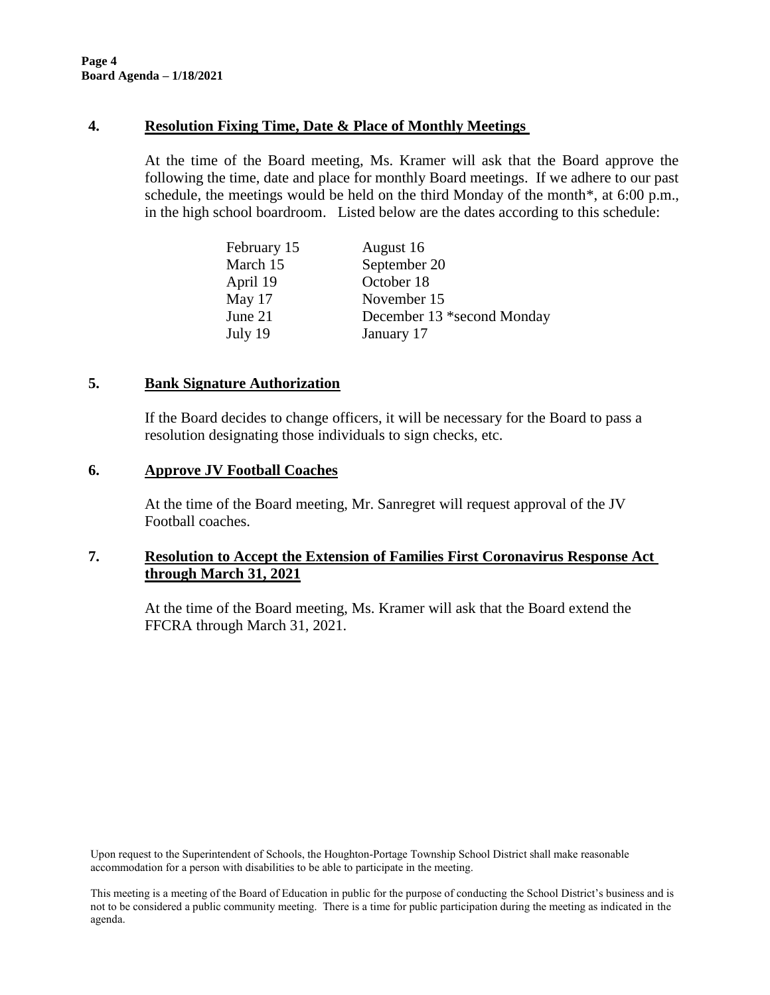#### **4. Resolution Fixing Time, Date & Place of Monthly Meetings**

At the time of the Board meeting, Ms. Kramer will ask that the Board approve the following the time, date and place for monthly Board meetings. If we adhere to our past schedule, the meetings would be held on the third Monday of the month\*, at 6:00 p.m., in the high school boardroom. Listed below are the dates according to this schedule:

| February 15 | August 16                  |
|-------------|----------------------------|
| March 15    | September 20               |
| April 19    | October 18                 |
| May 17      | November 15                |
| June $21$   | December 13 *second Monday |
| July 19     | January 17                 |

#### **5. Bank Signature Authorization**

If the Board decides to change officers, it will be necessary for the Board to pass a resolution designating those individuals to sign checks, etc.

#### **6. Approve JV Football Coaches**

At the time of the Board meeting, Mr. Sanregret will request approval of the JV Football coaches.

## **7. Resolution to Accept the Extension of Families First Coronavirus Response Act through March 31, 2021**

At the time of the Board meeting, Ms. Kramer will ask that the Board extend the FFCRA through March 31, 2021.

Upon request to the Superintendent of Schools, the Houghton-Portage Township School District shall make reasonable accommodation for a person with disabilities to be able to participate in the meeting.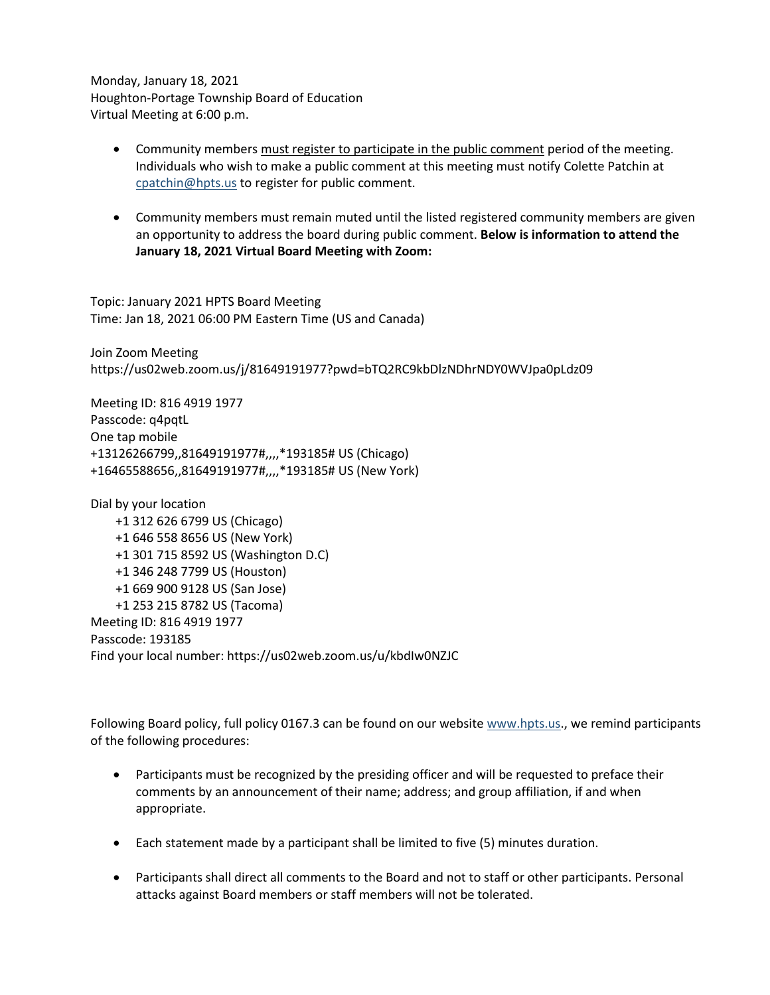Monday, January 18, 2021 Houghton-Portage Township Board of Education Virtual Meeting at 6:00 p.m.

- Community members must register to participate in the public comment period of the meeting. Individuals who wish to make a public comment at this meeting must notify Colette Patchin at [cpatchin@hpts.us](mailto:cpatchin@hpts.us) to register for public comment.
- Community members must remain muted until the listed registered community members are given an opportunity to address the board during public comment. **Below is information to attend the January 18, 2021 Virtual Board Meeting with Zoom:**

Topic: January 2021 HPTS Board Meeting Time: Jan 18, 2021 06:00 PM Eastern Time (US and Canada)

Join Zoom Meeting https://us02web.zoom.us/j/81649191977?pwd=bTQ2RC9kbDlzNDhrNDY0WVJpa0pLdz09

Meeting ID: 816 4919 1977 Passcode: q4pqtL One tap mobile +13126266799,,81649191977#,,,,\*193185# US (Chicago) +16465588656,,81649191977#,,,,\*193185# US (New York)

Dial by your location +1 312 626 6799 US (Chicago) +1 646 558 8656 US (New York) +1 301 715 8592 US (Washington D.C) +1 346 248 7799 US (Houston) +1 669 900 9128 US (San Jose) +1 253 215 8782 US (Tacoma) Meeting ID: 816 4919 1977 Passcode: 193185 Find your local number: https://us02web.zoom.us/u/kbdIw0NZJC

Following Board policy, full policy 0167.3 can be found on our website [www.hpts.us.](http://www.hpts.us/), we remind participants of the following procedures:

- Participants must be recognized by the presiding officer and will be requested to preface their comments by an announcement of their name; address; and group affiliation, if and when appropriate.
- Each statement made by a participant shall be limited to five (5) minutes duration.
- Participants shall direct all comments to the Board and not to staff or other participants. Personal attacks against Board members or staff members will not be tolerated.